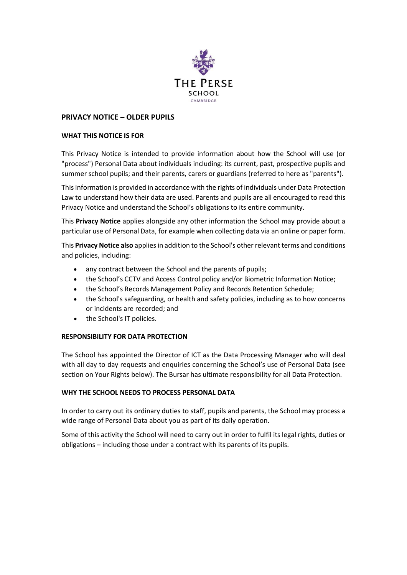

# **PRIVACY NOTICE – OLDER PUPILS**

### **WHAT THIS NOTICE IS FOR**

This Privacy Notice is intended to provide information about how the School will use (or "process") Personal Data about individuals including: its current, past, prospective pupils and summer school pupils; and their parents, carers or guardians (referred to here as "parents").

This information is provided in accordance with the rights of individuals under Data Protection Law to understand how their data are used. Parents and pupils are all encouraged to read this Privacy Notice and understand the School's obligations to its entire community.

This **Privacy Notice** applies alongside any other information the School may provide about a particular use of Personal Data, for example when collecting data via an online or paper form.

This **Privacy Notice also** appliesin addition to the School's other relevant terms and conditions and policies, including:

- any contract between the School and the parents of pupils;
- the School's CCTV and Access Control policy and/or Biometric Information Notice;
- the School's Records Management Policy and Records Retention Schedule;
- the School's safeguarding, or health and safety policies, including as to how concerns or incidents are recorded; and
- the School's IT policies.

### **RESPONSIBILITY FOR DATA PROTECTION**

The School has appointed the Director of ICT as the Data Processing Manager who will deal with all day to day requests and enquiries concerning the School's use of Personal Data (see section on Your Rights below). The Bursar has ultimate responsibility for all Data Protection.

### **WHY THE SCHOOL NEEDS TO PROCESS PERSONAL DATA**

In order to carry out its ordinary duties to staff, pupils and parents, the School may process a wide range of Personal Data about you as part of its daily operation.

Some of this activity the School will need to carry out in order to fulfil its legal rights, duties or obligations – including those under a contract with its parents of its pupils.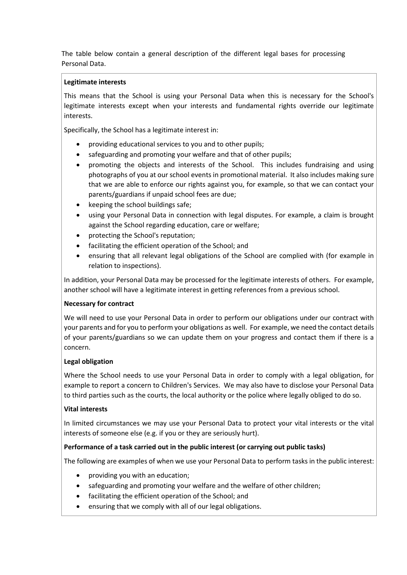The table below contain a general description of the different legal bases for processing Personal Data.

## **Legitimate interests**

This means that the School is using your Personal Data when this is necessary for the School's legitimate interests except when your interests and fundamental rights override our legitimate interests.

Specifically, the School has a legitimate interest in:

- providing educational services to you and to other pupils;
- safeguarding and promoting your welfare and that of other pupils;
- promoting the objects and interests of the School. This includes fundraising and using photographs of you at our school events in promotional material. It also includes making sure that we are able to enforce our rights against you, for example, so that we can contact your parents/guardians if unpaid school fees are due;
- keeping the school buildings safe;
- using your Personal Data in connection with legal disputes. For example, a claim is brought against the School regarding education, care or welfare;
- protecting the School's reputation;
- facilitating the efficient operation of the School; and
- ensuring that all relevant legal obligations of the School are complied with (for example in relation to inspections).

In addition, your Personal Data may be processed for the legitimate interests of others. For example, another school will have a legitimate interest in getting references from a previous school.

## **Necessary for contract**

We will need to use your Personal Data in order to perform our obligations under our contract with your parents and for you to perform your obligations as well. For example, we need the contact details of your parents/guardians so we can update them on your progress and contact them if there is a concern.

## **Legal obligation**

Where the School needs to use your Personal Data in order to comply with a legal obligation, for example to report a concern to Children's Services. We may also have to disclose your Personal Data to third parties such as the courts, the local authority or the police where legally obliged to do so.

## **Vital interests**

In limited circumstances we may use your Personal Data to protect your vital interests or the vital interests of someone else (e.g. if you or they are seriously hurt).

## **Performance of a task carried out in the public interest (or carrying out public tasks)**

The following are examples of when we use your Personal Data to perform tasks in the public interest:

- providing you with an education;
- safeguarding and promoting your welfare and the welfare of other children;
- facilitating the efficient operation of the School; and
- ensuring that we comply with all of our legal obligations.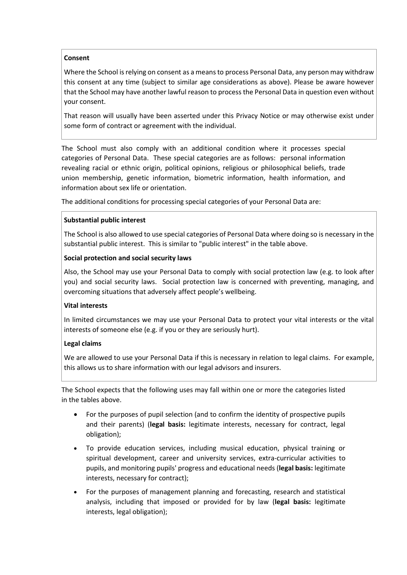## **Consent**

Where the School is relying on consent as a means to process Personal Data, any person may withdraw this consent at any time (subject to similar age considerations as above). Please be aware however that the School may have another lawful reason to process the Personal Data in question even without your consent.

That reason will usually have been asserted under this Privacy Notice or may otherwise exist under some form of contract or agreement with the individual.

The School must also comply with an additional condition where it processes special categories of Personal Data. These special categories are as follows: personal information revealing racial or ethnic origin, political opinions, religious or philosophical beliefs, trade union membership, genetic information, biometric information, health information, and information about sex life or orientation.

The additional conditions for processing special categories of your Personal Data are:

## **Substantial public interest**

The School is also allowed to use special categories of Personal Data where doing so is necessary in the substantial public interest. This is similar to "public interest" in the table above.

## **Social protection and social security laws**

Also, the School may use your Personal Data to comply with social protection law (e.g. to look after you) and social security laws. Social protection law is concerned with preventing, managing, and overcoming situations that adversely affect people's wellbeing.

## **Vital interests**

In limited circumstances we may use your Personal Data to protect your vital interests or the vital interests of someone else (e.g. if you or they are seriously hurt).

## **Legal claims**

We are allowed to use your Personal Data if this is necessary in relation to legal claims. For example, this allows us to share information with our legal advisors and insurers.

The School expects that the following uses may fall within one or more the categories listed in the tables above.

- For the purposes of pupil selection (and to confirm the identity of prospective pupils and their parents) (**legal basis:** legitimate interests, necessary for contract, legal obligation);
- To provide education services, including musical education, physical training or spiritual development, career and university services, extra-curricular activities to pupils, and monitoring pupils' progress and educational needs (**legal basis:** legitimate interests, necessary for contract);
- For the purposes of management planning and forecasting, research and statistical analysis, including that imposed or provided for by law (**legal basis:** legitimate interests, legal obligation);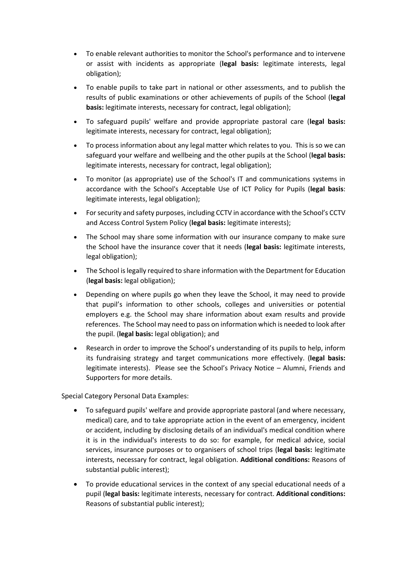- To enable relevant authorities to monitor the School's performance and to intervene or assist with incidents as appropriate (**legal basis:** legitimate interests, legal obligation);
- To enable pupils to take part in national or other assessments, and to publish the results of public examinations or other achievements of pupils of the School (**legal basis:** legitimate interests, necessary for contract, legal obligation);
- To safeguard pupils' welfare and provide appropriate pastoral care (**legal basis:** legitimate interests, necessary for contract, legal obligation);
- To process information about any legal matter which relates to you. This is so we can safeguard your welfare and wellbeing and the other pupils at the School (**legal basis:** legitimate interests, necessary for contract, legal obligation);
- To monitor (as appropriate) use of the School's IT and communications systems in accordance with the School's Acceptable Use of ICT Policy for Pupils (**legal basis**: legitimate interests, legal obligation);
- For security and safety purposes, including CCTV in accordance with the School's CCTV and Access Control System Policy (**legal basis:** legitimate interests);
- The School may share some information with our insurance company to make sure the School have the insurance cover that it needs (**legal basis:** legitimate interests, legal obligation);
- The School is legally required to share information with the Department for Education (**legal basis:** legal obligation);
- Depending on where pupils go when they leave the School, it may need to provide that pupil's information to other schools, colleges and universities or potential employers e.g. the School may share information about exam results and provide references. The School may need to pass on information which is needed to look after the pupil. (**legal basis:** legal obligation); and
- Research in order to improve the School's understanding of its pupils to help, inform its fundraising strategy and target communications more effectively. (**legal basis:** legitimate interests). Please see the School's Privacy Notice – Alumni, Friends and Supporters for more details.

Special Category Personal Data Examples:

- To safeguard pupils' welfare and provide appropriate pastoral (and where necessary, medical) care, and to take appropriate action in the event of an emergency, incident or accident, including by disclosing details of an individual's medical condition where it is in the individual's interests to do so: for example, for medical advice, social services, insurance purposes or to organisers of school trips (**legal basis:** legitimate interests, necessary for contract, legal obligation. **Additional conditions:** Reasons of substantial public interest);
- To provide educational services in the context of any special educational needs of a pupil (**legal basis:** legitimate interests, necessary for contract. **Additional conditions:** Reasons of substantial public interest);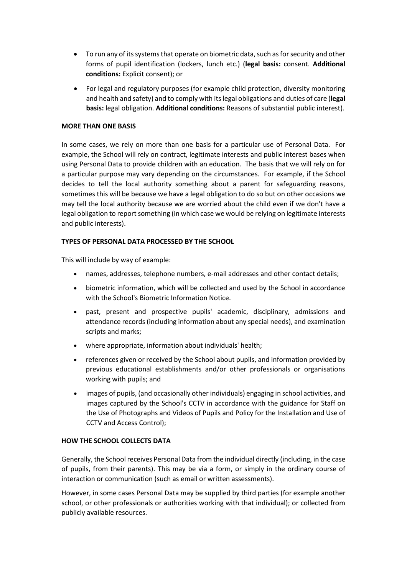- To run any of its systems that operate on biometric data, such as for security and other forms of pupil identification (lockers, lunch etc.) (**legal basis:** consent. **Additional conditions:** Explicit consent); or
- For legal and regulatory purposes (for example child protection, diversity monitoring and health and safety) and to comply with its legal obligations and duties of care (**legal basis:** legal obligation. **Additional conditions:** Reasons of substantial public interest).

## **MORE THAN ONE BASIS**

In some cases, we rely on more than one basis for a particular use of Personal Data. For example, the School will rely on contract, legitimate interests and public interest bases when using Personal Data to provide children with an education. The basis that we will rely on for a particular purpose may vary depending on the circumstances. For example, if the School decides to tell the local authority something about a parent for safeguarding reasons, sometimes this will be because we have a legal obligation to do so but on other occasions we may tell the local authority because we are worried about the child even if we don't have a legal obligation to report something (in which case we would be relying on legitimate interests and public interests).

### **TYPES OF PERSONAL DATA PROCESSED BY THE SCHOOL**

This will include by way of example:

- names, addresses, telephone numbers, e-mail addresses and other contact details;
- biometric information, which will be collected and used by the School in accordance with the School's Biometric Information Notice.
- past, present and prospective pupils' academic, disciplinary, admissions and attendance records (including information about any special needs), and examination scripts and marks;
- where appropriate, information about individuals' health;
- references given or received by the School about pupils, and information provided by previous educational establishments and/or other professionals or organisations working with pupils; and
- images of pupils, (and occasionally other individuals) engaging in school activities, and images captured by the School's CCTV in accordance with the guidance for Staff on the Use of Photographs and Videos of Pupils and Policy for the Installation and Use of CCTV and Access Control);

### **HOW THE SCHOOL COLLECTS DATA**

Generally, the School receives Personal Data from the individual directly (including, in the case of pupils, from their parents). This may be via a form, or simply in the ordinary course of interaction or communication (such as email or written assessments).

However, in some cases Personal Data may be supplied by third parties (for example another school, or other professionals or authorities working with that individual); or collected from publicly available resources.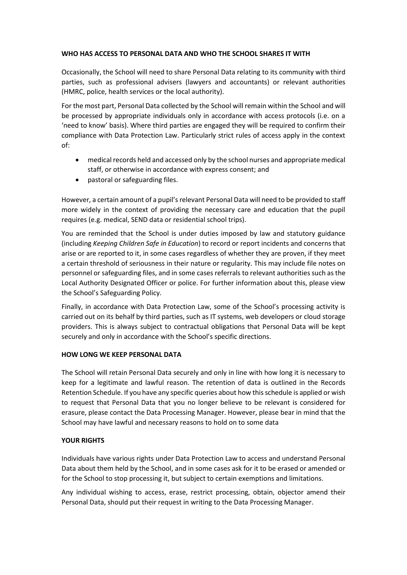### **WHO HAS ACCESS TO PERSONAL DATA AND WHO THE SCHOOL SHARES IT WITH**

Occasionally, the School will need to share Personal Data relating to its community with third parties, such as professional advisers (lawyers and accountants) or relevant authorities (HMRC, police, health services or the local authority).

For the most part, Personal Data collected by the School will remain within the School and will be processed by appropriate individuals only in accordance with access protocols (i.e. on a 'need to know' basis). Where third parties are engaged they will be required to confirm their compliance with Data Protection Law. Particularly strict rules of access apply in the context of:

- medical records held and accessed only by the school nurses and appropriate medical staff, or otherwise in accordance with express consent; and
- pastoral or safeguarding files.

However, a certain amount of a pupil's relevant Personal Data will need to be provided to staff more widely in the context of providing the necessary care and education that the pupil requires (e.g. medical, SEND data or residential school trips).

You are reminded that the School is under duties imposed by law and statutory guidance (including *[Keeping Children Safe in Education](https://www.gov.uk/government/publications/keeping-children-safe-in-education--2)*) to record or report incidents and concerns that arise or are reported to it, in some cases regardless of whether they are proven, if they meet a certain threshold of seriousness in their nature or regularity. This may include file notes on personnel or safeguarding files, and in some cases referrals to relevant authorities such as the Local Authority Designated Officer or police. For further information about this, please view the School's Safeguarding Policy.

Finally, in accordance with Data Protection Law, some of the School's processing activity is carried out on its behalf by third parties, such as IT systems, web developers or cloud storage providers. This is always subject to contractual obligations that Personal Data will be kept securely and only in accordance with the School's specific directions.

### **HOW LONG WE KEEP PERSONAL DATA**

The School will retain Personal Data securely and only in line with how long it is necessary to keep for a legitimate and lawful reason. The retention of data is outlined in the Records Retention Schedule. If you have any specific queries about how this schedule is applied or wish to request that Personal Data that you no longer believe to be relevant is considered for erasure, please contact the Data Processing Manager. However, please bear in mind that the School may have lawful and necessary reasons to hold on to some data

## **YOUR RIGHTS**

Individuals have various rights under Data Protection Law to access and understand Personal Data about them held by the School, and in some cases ask for it to be erased or amended or for the School to stop processing it, but subject to certain exemptions and limitations.

Any individual wishing to access, erase, restrict processing, obtain, objector amend their Personal Data, should put their request in writing to the Data Processing Manager.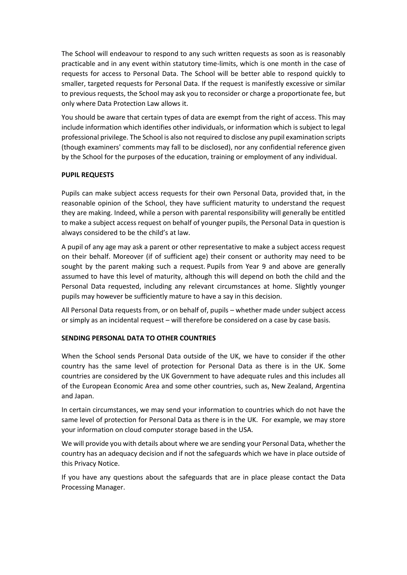The School will endeavour to respond to any such written requests as soon as is reasonably practicable and in any event within statutory time-limits, which is one month in the case of requests for access to Personal Data. The School will be better able to respond quickly to smaller, targeted requests for Personal Data. If the request is manifestly excessive or similar to previous requests, the School may ask you to reconsider or charge a proportionate fee, but only where Data Protection Law allows it.

You should be aware that certain types of data are exempt from the right of access. This may include information which identifies other individuals, or information which is subject to legal professional privilege. The School is also not required to disclose any pupil examination scripts (though examiners' comments may fall to be disclosed), nor any confidential reference given by the School for the purposes of the education, training or employment of any individual.

## **PUPIL REQUESTS**

Pupils can make subject access requests for their own Personal Data, provided that, in the reasonable opinion of the School, they have sufficient maturity to understand the request they are making. Indeed, while a person with parental responsibility will generally be entitled to make a subject access request on behalf of younger pupils, the Personal Data in question is always considered to be the child's at law.

A pupil of any age may ask a parent or other representative to make a subject access request on their behalf. Moreover (if of sufficient age) their consent or authority may need to be sought by the parent making such a request. Pupils from Year 9 and above are generally assumed to have this level of maturity, although this will depend on both the child and the Personal Data requested, including any relevant circumstances at home. Slightly younger pupils may however be sufficiently mature to have a say in this decision.

All Personal Data requests from, or on behalf of, pupils – whether made under subject access or simply as an incidental request – will therefore be considered on a case by case basis.

## **SENDING PERSONAL DATA TO OTHER COUNTRIES**

When the School sends Personal Data outside of the UK, we have to consider if the other country has the same level of protection for Personal Data as there is in the UK. Some countries are considered by the UK Government to have adequate rules and this includes all of the European Economic Area and some other countries, such as, New Zealand, Argentina and Japan.

In certain circumstances, we may send your information to countries which do not have the same level of protection for Personal Data as there is in the UK. For example, we may store your information on cloud computer storage based in the USA.

We will provide you with details about where we are sending your Personal Data, whether the country has an adequacy decision and if not the safeguards which we have in place outside of this Privacy Notice.

If you have any questions about the safeguards that are in place please contact the Data Processing Manager.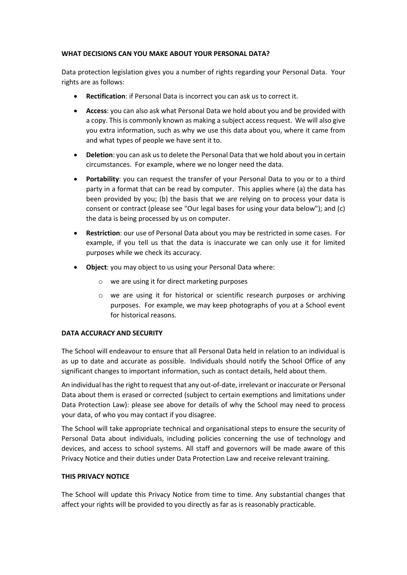### **WHAT DECISIONS CAN YOU MAKE ABOUT YOUR PERSONAL DATA?**

Data protection legislation gives you a number of rights regarding your Personal Data. Your rights are as follows:

- **Rectification**: if Personal Data is incorrect you can ask us to correct it.
- **Access**: you can also ask what Personal Data we hold about you and be provided with a copy. This is commonly known as making a subject access request. We will also give you extra information, such as why we use this data about you, where it came from and what types of people we have sent it to.
- **Deletion**: you can ask us to delete the Personal Data that we hold about you in certain circumstances. For example, where we no longer need the data.
- Portability: you can request the transfer of your Personal Data to you or to a third party in a format that can be read by computer. This applies where (a) the data has been provided by you; (b) the basis that we are relying on to process your data is consent or contract (please see "Our legal bases for using your data below"); and (c) the data is being processed by us on computer.
- **Restriction**: our use of Personal Data about you may be restricted in some cases. For example, if you tell us that the data is inaccurate we can only use it for limited purposes while we check its accuracy.
- **Object**: you may object to us using your Personal Data where:
	- o we are using it for direct marketing purposes
	- o we are using it for historical or scientific research purposes or archiving purposes. For example, we may keep photographs of you at a School event for historical reasons.

## **DATA ACCURACY AND SECURITY**

The School will endeavour to ensure that all Personal Data held in relation to an individual is as up to date and accurate as possible. Individuals should notify the School Office of any significant changes to important information, such as contact details, held about them.

An individual has the right to request that any out-of-date, irrelevant or inaccurate or Personal Data about them is erased or corrected (subject to certain exemptions and limitations under Data Protection Law): please see above for details of why the School may need to process your data, of who you may contact if you disagree.

The School will take appropriate technical and organisational steps to ensure the security of Personal Data about individuals, including policies concerning the use of technology and devices, and access to school systems. All staff and governors will be made aware of this Privacy Notice and their duties under Data Protection Law and receive relevant training.

## **THIS PRIVACY NOTICE**

The School will update this Privacy Notice from time to time. Any substantial changes that affect your rights will be provided to you directly as far as is reasonably practicable.